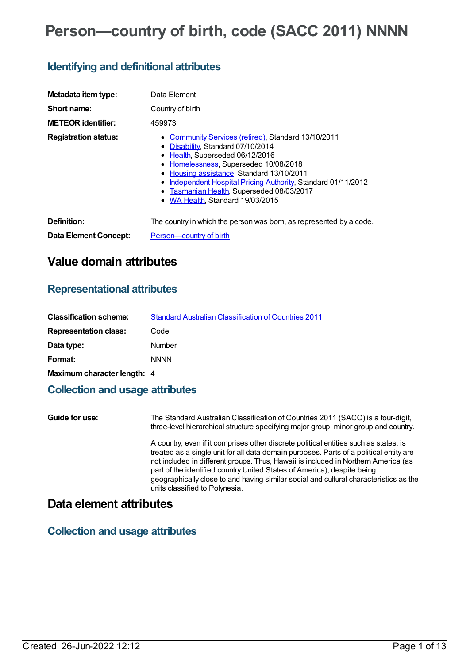# **Person—country of birth, code (SACC 2011) NNNN**

# **Identifying and definitional attributes**

| Metadata item type:          | Data Element                                                                                                                                                                                                                                                                                                                                                            |
|------------------------------|-------------------------------------------------------------------------------------------------------------------------------------------------------------------------------------------------------------------------------------------------------------------------------------------------------------------------------------------------------------------------|
| Short name:                  | Country of birth                                                                                                                                                                                                                                                                                                                                                        |
| <b>METEOR</b> identifier:    | 459973                                                                                                                                                                                                                                                                                                                                                                  |
| <b>Registration status:</b>  | • Community Services (retired), Standard 13/10/2011<br>• Disability, Standard 07/10/2014<br>• Health, Superseded 06/12/2016<br>• Homelessness, Superseded 10/08/2018<br>Housing assistance, Standard 13/10/2011<br>٠<br>Independent Hospital Pricing Authority, Standard 01/11/2012<br>٠<br>Tasmanian Health, Superseded 08/03/2017<br>• WA Health, Standard 19/03/2015 |
| Definition:                  | The country in which the person was born, as represented by a code.                                                                                                                                                                                                                                                                                                     |
| <b>Data Element Concept:</b> | <b>Person-country of birth</b>                                                                                                                                                                                                                                                                                                                                          |

# **Value domain attributes**

### **Representational attributes**

| <b>Classification scheme:</b> | <b>Standard Australian Classification of Countries 2011</b> |
|-------------------------------|-------------------------------------------------------------|
| <b>Representation class:</b>  | Code                                                        |
| Data type:                    | Number                                                      |
| Format:                       | <b>NNNN</b>                                                 |
| Maximum character length: 4   |                                                             |

## **Collection and usage attributes**

| Guide for use: | The Standard Australian Classification of Countries 2011 (SACC) is a four-digit,<br>three-level hierarchical structure specifying major group, minor group and country.                                                                                                                                                                                                                                                                                                    |
|----------------|----------------------------------------------------------------------------------------------------------------------------------------------------------------------------------------------------------------------------------------------------------------------------------------------------------------------------------------------------------------------------------------------------------------------------------------------------------------------------|
|                | A country, even if it comprises other discrete political entities such as states, is<br>treated as a single unit for all data domain purposes. Parts of a political entity are<br>not included in different groups. Thus, Hawaii is included in Northern America (as<br>part of the identified country United States of America), despite being<br>geographically close to and having similar social and cultural characteristics as the<br>units classified to Polynesia. |

# **Data element attributes**

### **Collection and usage attributes**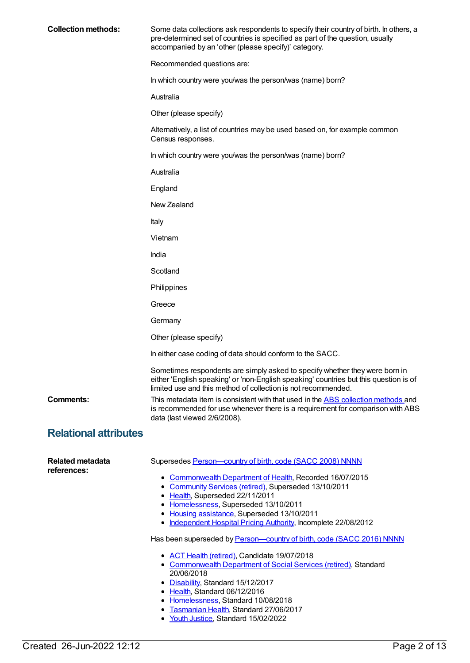| <b>Collection methods:</b>   | Some data collections ask respondents to specify their country of birth. In others, a<br>pre-determined set of countries is specified as part of the question, usually<br>accompanied by an 'other (please specify)' category.                                                                                                 |
|------------------------------|--------------------------------------------------------------------------------------------------------------------------------------------------------------------------------------------------------------------------------------------------------------------------------------------------------------------------------|
|                              | Recommended questions are:                                                                                                                                                                                                                                                                                                     |
|                              | In which country were you/was the person/was (name) born?                                                                                                                                                                                                                                                                      |
|                              | Australia                                                                                                                                                                                                                                                                                                                      |
|                              | Other (please specify)                                                                                                                                                                                                                                                                                                         |
|                              | Alternatively, a list of countries may be used based on, for example common<br>Census responses.                                                                                                                                                                                                                               |
|                              | In which country were you/was the person/was (name) born?                                                                                                                                                                                                                                                                      |
|                              | Australia                                                                                                                                                                                                                                                                                                                      |
|                              | England                                                                                                                                                                                                                                                                                                                        |
|                              | New Zealand                                                                                                                                                                                                                                                                                                                    |
|                              | Italy                                                                                                                                                                                                                                                                                                                          |
|                              | Vietnam                                                                                                                                                                                                                                                                                                                        |
|                              | India                                                                                                                                                                                                                                                                                                                          |
|                              | Scotland                                                                                                                                                                                                                                                                                                                       |
|                              | Philippines                                                                                                                                                                                                                                                                                                                    |
|                              | Greece                                                                                                                                                                                                                                                                                                                         |
|                              | Germany                                                                                                                                                                                                                                                                                                                        |
|                              | Other (please specify)                                                                                                                                                                                                                                                                                                         |
|                              | In either case coding of data should conform to the SACC.                                                                                                                                                                                                                                                                      |
|                              | Sometimes respondents are simply asked to specify whether they were born in<br>either 'English speaking' or 'non-English speaking' countries but this question is of<br>limited use and this method of collection is not recommended.                                                                                          |
| <b>Comments:</b>             | This metadata item is consistent with that used in the ABS collection methods and<br>is recommended for use whenever there is a requirement for comparison with ABS<br>data (last viewed 2/6/2008).                                                                                                                            |
| <b>Relational attributes</b> |                                                                                                                                                                                                                                                                                                                                |
| <b>Related metadata</b>      | Supersedes Person-country of birth, code (SACC 2008) NNNN                                                                                                                                                                                                                                                                      |
| references:                  | • Commonwealth Department of Health, Recorded 16/07/2015<br>• Community Services (retired), Superseded 13/10/2011<br>• Health, Superseded 22/11/2011<br>• Homelessness, Superseded 13/10/2011<br>• Housing assistance, Superseded 13/10/2011<br>• Independent Hospital Pricing Authority, Incomplete 22/08/2012                |
|                              | Has been superseded by Person-country of birth, code (SACC 2016) NNNN                                                                                                                                                                                                                                                          |
|                              | • ACT Health (retired), Candidate 19/07/2018<br>• Commonwealth Department of Social Services (retired), Standard<br>20/06/2018<br>• Disability, Standard 15/12/2017<br>• Health, Standard 06/12/2016<br>• Homelessness, Standard 10/08/2018<br>• Tasmanian Health, Standard 27/06/2017<br>• Youth Justice, Standard 15/02/2022 |
|                              |                                                                                                                                                                                                                                                                                                                                |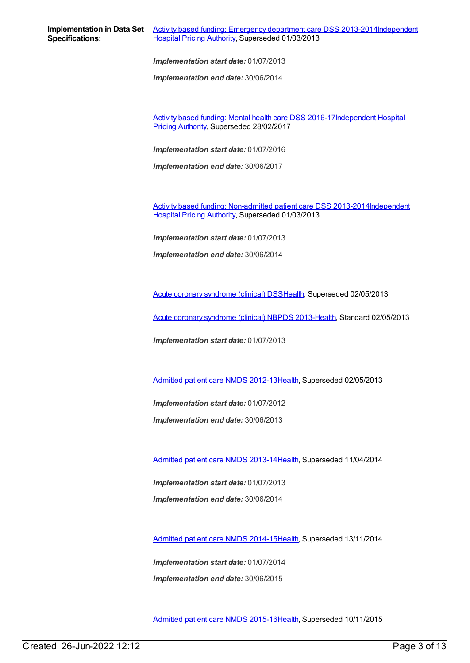*Implementation end date:* 30/06/2014

Activity based funding: Mental health care DSS [2016-17Independent](https://meteor.aihw.gov.au/RegistrationAuthority/3) Hospital Pricing Authority, Superseded 28/02/2017

*Implementation start date:* 01/07/2016

*Implementation end date:* 30/06/2017

Activity based funding: [Non-admitted](https://meteor.aihw.gov.au/content/497531) patient care DSS [2013-2014Independent](https://meteor.aihw.gov.au/RegistrationAuthority/3) Hospital Pricing Authority, Superseded 01/03/2013

*Implementation start date:* 01/07/2013

*Implementation end date:* 30/06/2014

Acute coronary [syndrome](https://meteor.aihw.gov.au/content/482119) (clinical) DS[SHealth](https://meteor.aihw.gov.au/RegistrationAuthority/12), Superseded 02/05/2013

Acute coronary [syndrome](https://meteor.aihw.gov.au/content/523140) (clinical) NBPDS 2013[-Health](https://meteor.aihw.gov.au/RegistrationAuthority/12), Standard 02/05/2013

*Implementation start date:* 01/07/2013

[Admitted](https://meteor.aihw.gov.au/content/466132) patient care NMDS 2012-13[Health](https://meteor.aihw.gov.au/RegistrationAuthority/12), Superseded 02/05/2013

*Implementation start date:* 01/07/2012

*Implementation end date:* 30/06/2013

[Admitted](https://meteor.aihw.gov.au/content/491555) patient care NMDS 2013-14[Health](https://meteor.aihw.gov.au/RegistrationAuthority/12), Superseded 11/04/2014

*Implementation start date:* 01/07/2013 *Implementation end date:* 30/06/2014

[Admitted](https://meteor.aihw.gov.au/content/535047) patient care NMDS 2014-15[Health](https://meteor.aihw.gov.au/RegistrationAuthority/12), Superseded 13/11/2014

*Implementation start date:* 01/07/2014 *Implementation end date:* 30/06/2015

[Admitted](https://meteor.aihw.gov.au/content/588909) patient care NMDS 2015-16[Health](https://meteor.aihw.gov.au/RegistrationAuthority/12), Superseded 10/11/2015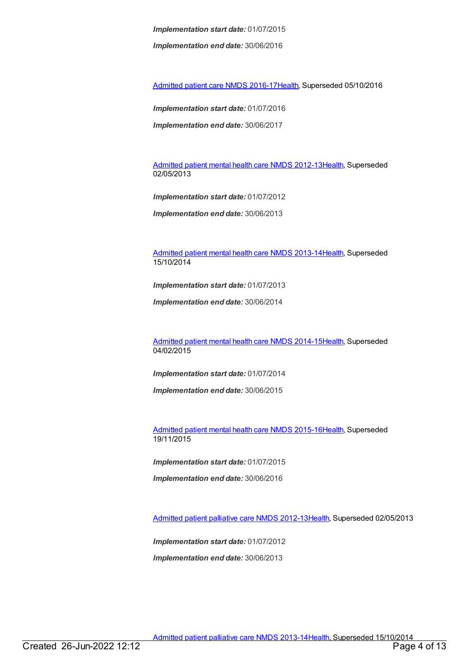*Implementation end date:* 30/06/2016

[Admitted](https://meteor.aihw.gov.au/content/612171) patient care NMDS 2016-17[Health](https://meteor.aihw.gov.au/RegistrationAuthority/12), Superseded 05/10/2016

*Implementation start date:* 01/07/2016

*Implementation end date:* 30/06/2017

[Admitted](https://meteor.aihw.gov.au/content/471383) patient mental health care NMDS 2012-13[Health](https://meteor.aihw.gov.au/RegistrationAuthority/12), Superseded 02/05/2013

*Implementation start date:* 01/07/2012

*Implementation end date:* 30/06/2013

[Admitted](https://meteor.aihw.gov.au/content/504646) patient mental health care NMDS 2013-14[Health](https://meteor.aihw.gov.au/RegistrationAuthority/12), Superseded 15/10/2014

*Implementation start date:* 01/07/2013

*Implementation end date:* 30/06/2014

[Admitted](https://meteor.aihw.gov.au/content/553164) patient mental health care NMDS 2014-15[Health](https://meteor.aihw.gov.au/RegistrationAuthority/12), Superseded 04/02/2015

*Implementation start date:* 01/07/2014

*Implementation end date:* 30/06/2015

[Admitted](https://meteor.aihw.gov.au/content/590510) patient mental health care NMDS 2015-16[Health](https://meteor.aihw.gov.au/RegistrationAuthority/12), Superseded 19/11/2015

*Implementation start date:* 01/07/2015

*Implementation end date:* 30/06/2016

[Admitted](https://meteor.aihw.gov.au/content/471819) patient palliative care NMDS 2012-13[Health](https://meteor.aihw.gov.au/RegistrationAuthority/12), Superseded 02/05/2013

*Implementation start date:* 01/07/2012

*Implementation end date:* 30/06/2013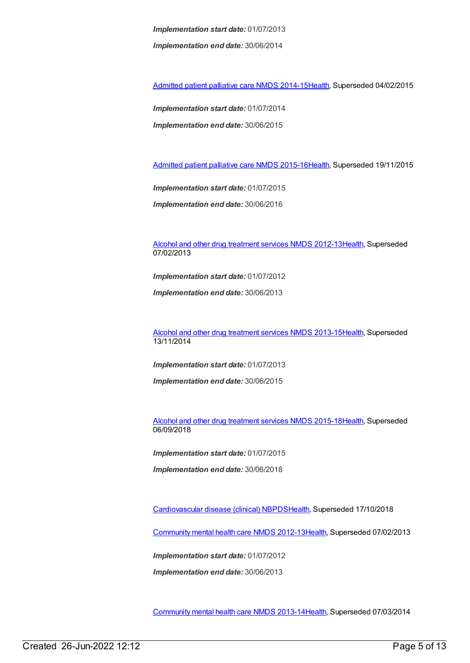*Implementation start date:* 01/07/2013 *Implementation end date:* 30/06/2014

[Admitted](https://meteor.aihw.gov.au/content/553212) patient palliative care NMDS 2014-15[Health](https://meteor.aihw.gov.au/RegistrationAuthority/12), Superseded 04/02/2015

*Implementation start date:* 01/07/2014 *Implementation end date:* 30/06/2015

[Admitted](https://meteor.aihw.gov.au/content/590512) patient palliative care NMDS 2015-16[Health](https://meteor.aihw.gov.au/RegistrationAuthority/12), Superseded 19/11/2015

*Implementation start date:* 01/07/2015 *Implementation end date:* 30/06/2016

Alcohol and other drug [treatment](https://meteor.aihw.gov.au/content/466861) services NMDS 2012-1[3Health](https://meteor.aihw.gov.au/RegistrationAuthority/12), Superseded 07/02/2013

*Implementation start date:* 01/07/2012

*Implementation end date:* 30/06/2013

Alcohol and other drug [treatment](https://meteor.aihw.gov.au/content/498901) services NMDS 2013-1[5Health](https://meteor.aihw.gov.au/RegistrationAuthority/12), Superseded 13/11/2014

*Implementation start date:* 01/07/2013

*Implementation end date:* 30/06/2015

Alcohol and other drug [treatment](https://meteor.aihw.gov.au/content/583090) services NMDS 2015-1[8Health](https://meteor.aihw.gov.au/RegistrationAuthority/12), Superseded 06/09/2018

*Implementation start date:* 01/07/2015

*Implementation end date:* 30/06/2018

[Cardiovascular](https://meteor.aihw.gov.au/content/470731) disease (clinical) NBPD[SHealth](https://meteor.aihw.gov.au/RegistrationAuthority/12), Superseded 17/10/2018

[Community](https://meteor.aihw.gov.au/content/468200) mental health care NMDS 2012-1[3Health](https://meteor.aihw.gov.au/RegistrationAuthority/12), Superseded 07/02/2013

*Implementation start date:* 01/07/2012

*Implementation end date:* 30/06/2013

[Community](https://meteor.aihw.gov.au/content/493658) mental health care NMDS 2013-1[4Health](https://meteor.aihw.gov.au/RegistrationAuthority/12), Superseded 07/03/2014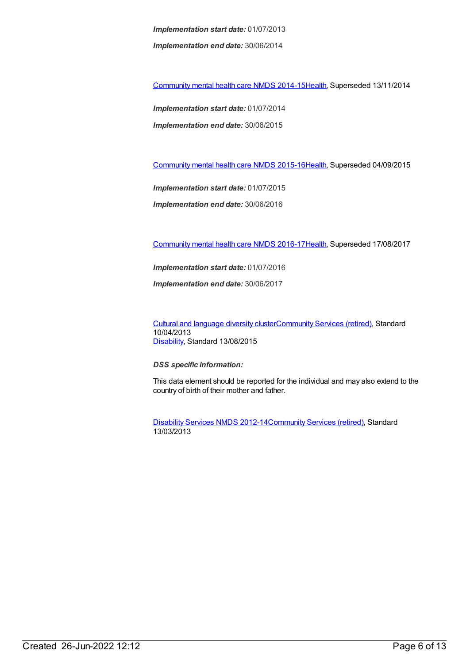*Implementation start date:* 01/07/2013 *Implementation end date:* 30/06/2014

[Community](https://meteor.aihw.gov.au/content/549878) mental health care NMDS 2014-1[5Health](https://meteor.aihw.gov.au/RegistrationAuthority/12), Superseded 13/11/2014

*Implementation start date:* 01/07/2014 *Implementation end date:* 30/06/2015

[Community](https://meteor.aihw.gov.au/content/565694) mental health care NMDS 2015-1[6Health](https://meteor.aihw.gov.au/RegistrationAuthority/12), Superseded 04/09/2015

*Implementation start date:* 01/07/2015

*Implementation end date:* 30/06/2016

[Community](https://meteor.aihw.gov.au/content/608534) mental health care NMDS 2016-1[7Health](https://meteor.aihw.gov.au/RegistrationAuthority/12), Superseded 17/08/2017

*Implementation start date:* 01/07/2016

*Implementation end date:* 30/06/2017

Cultural and [language](https://meteor.aihw.gov.au/content/491352) diversity cluste[rCommunity](https://meteor.aihw.gov.au/RegistrationAuthority/1) Services (retired), Standard 10/04/2013 [Disability](https://meteor.aihw.gov.au/RegistrationAuthority/16), Standard 13/08/2015

*DSS specific information:*

This data element should be reported for the individual and may also extend to the country of birth of their mother and father.

[Disability](https://meteor.aihw.gov.au/content/461640) Services NMDS 2012-14[Community](https://meteor.aihw.gov.au/RegistrationAuthority/1) Services (retired), Standard 13/03/2013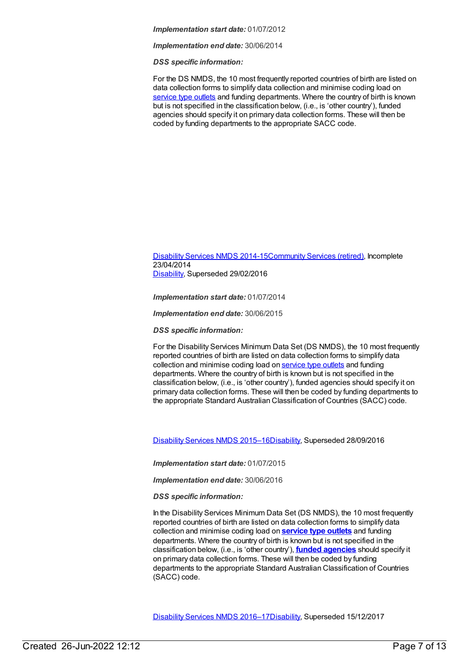*Implementation end date:* 30/06/2014

*DSS specific information:*

For the DS NMDS, the 10 most frequently reported countries of birth are listed on data collection forms to simplify data collection and minimise coding load on [service](file:///content/501973) type outlets and funding departments. Where the country of birth is known but is not specified in the classification below, (i.e., is 'other country'), funded agencies should specify it on primary data collection forms. These will then be coded by funding departments to the appropriate SACC code.

### [Disability](https://meteor.aihw.gov.au/content/569749) Services NMDS 2014-15[Community](https://meteor.aihw.gov.au/RegistrationAuthority/1) Services (retired), Incomplete 23/04/2014 [Disability](https://meteor.aihw.gov.au/RegistrationAuthority/16), Superseded 29/02/2016

*Implementation start date:* 01/07/2014

*Implementation end date:* 30/06/2015

*DSS specific information:*

For the Disability Services Minimum Data Set (DS NMDS), the 10 most frequently reported countries of birth are listed on data collection forms to simplify data collection and minimise coding load on [service](file:///content/501973) type outlets and funding departments. Where the country of birth is known but is not specified in the classification below, (i.e., is 'other country'), funded agencies should specify it on primary data collection forms. These will then be coded by funding departments to the appropriate Standard Australian Classification of Countries (SACC) code.

[Disability](https://meteor.aihw.gov.au/content/617391) Services NMDS 2015–1[6Disability](https://meteor.aihw.gov.au/RegistrationAuthority/16), Superseded 28/09/2016

*Implementation start date:* 01/07/2015

*Implementation end date:* 30/06/2016

*DSS specific information:*

In the Disability Services Minimum Data Set (DS NMDS), the 10 most frequently reported countries of birth are listed on data collection forms to simplify data collection and minimise coding load on **[service](https://meteor.aihw.gov.au/content/501973) type outlets** and funding departments. Where the country of birth is known but is not specified in the classification below, (i.e., is 'other country'), **funded [agencies](https://meteor.aihw.gov.au/content/386548)** should specify it on primary data collection forms. These will then be coded by funding departments to the appropriate Standard Australian Classification of Countries (SACC) code.

[Disability](https://meteor.aihw.gov.au/content/637867) Services NMDS 2016–1[7Disability](https://meteor.aihw.gov.au/RegistrationAuthority/16), Superseded 15/12/2017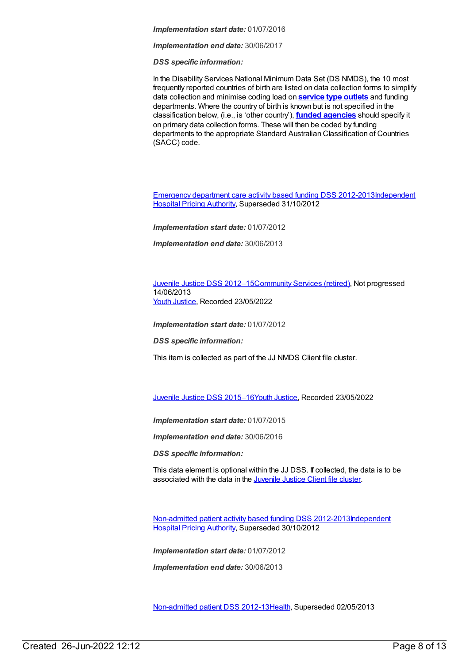*Implementation end date:* 30/06/2017

*DSS specific information:*

In the Disability Services National Minimum Data Set (DS NMDS), the 10 most frequently reported countries of birth are listed on data collection forms to simplify data collection and minimise coding load on **[service](https://meteor.aihw.gov.au/content/501973) type outlets** and funding departments. Where the country of birth is known but is not specified in the classification below, (i.e., is 'other country'), **funded [agencies](https://meteor.aihw.gov.au/content/386548)** should specify it on primary data collection forms. These will then be coded by funding departments to the appropriate Standard Australian Classification of Countries (SACC) code.

[Emergency](https://meteor.aihw.gov.au/content/496522) department care activity based funding DSS [2012-2013Independent](https://meteor.aihw.gov.au/RegistrationAuthority/3) Hospital Pricing Authority, Superseded 31/10/2012

*Implementation start date:* 01/07/2012

*Implementation end date:* 30/06/2013

Juvenile Justice DSS [2012–15](https://meteor.aihw.gov.au/content/467982)[Community](https://meteor.aihw.gov.au/RegistrationAuthority/1) Services (retired), Not progressed 14/06/2013 Youth [Justice](https://meteor.aihw.gov.au/RegistrationAuthority/4), Recorded 23/05/2022

*Implementation start date:* 01/07/2012

*DSS specific information:*

This item is collected as part of the JJ NMDS Client file cluster.

Juvenile Justice DSS [2015–16](https://meteor.aihw.gov.au/content/758590)Youth [Justice](https://meteor.aihw.gov.au/RegistrationAuthority/4), Recorded 23/05/2022

*Implementation start date:* 01/07/2015

*Implementation end date:* 30/06/2016

*DSS specific information:*

This data element is optional within the JJ DSS. If collected, the data is to be associated with the data in the [Juvenile](file:///content/513199) Justice Client file cluster.

[Non-admitted](https://meteor.aihw.gov.au/content/453284) patient activity based funding DSS [2012-2013Independent](https://meteor.aihw.gov.au/RegistrationAuthority/3) Hospital Pricing Authority, Superseded 30/10/2012

*Implementation start date:* 01/07/2012

*Implementation end date:* 30/06/2013

[Non-admitted](https://meteor.aihw.gov.au/content/471846) patient DSS 2012-1[3Health](https://meteor.aihw.gov.au/RegistrationAuthority/12), Superseded 02/05/2013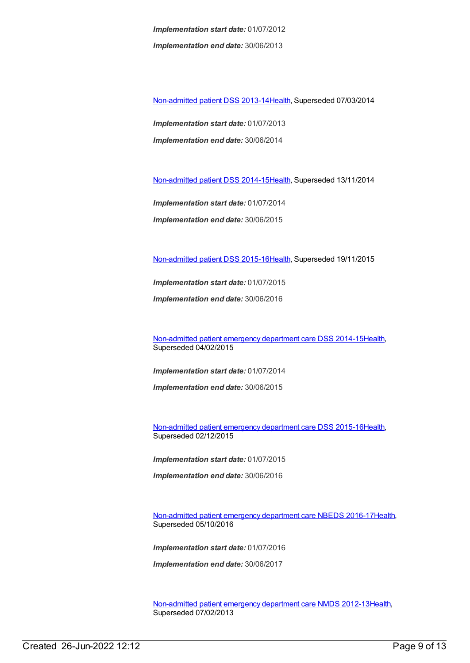*Implementation start date:* 01/07/2012 *Implementation end date:* 30/06/2013

[Non-admitted](https://meteor.aihw.gov.au/content/509071) patient DSS 2013-1[4Health](https://meteor.aihw.gov.au/RegistrationAuthority/12), Superseded 07/03/2014

*Implementation start date:* 01/07/2013 *Implementation end date:* 30/06/2014

[Non-admitted](https://meteor.aihw.gov.au/content/548176) patient DSS 2014-1[5Health](https://meteor.aihw.gov.au/RegistrationAuthority/12), Superseded 13/11/2014

*Implementation start date:* 01/07/2014

*Implementation end date:* 30/06/2015

[Non-admitted](https://meteor.aihw.gov.au/content/584108) patient DSS 2015-1[6Health](https://meteor.aihw.gov.au/RegistrationAuthority/12), Superseded 19/11/2015

*Implementation start date:* 01/07/2015

*Implementation end date:* 30/06/2016

[Non-admitted](https://meteor.aihw.gov.au/content/567462) patient emergency department care DSS 2014-1[5Health](https://meteor.aihw.gov.au/RegistrationAuthority/12), Superseded 04/02/2015

*Implementation start date:* 01/07/2014

*Implementation end date:* 30/06/2015

[Non-admitted](https://meteor.aihw.gov.au/content/590675) patient emergency department care DSS 2015-1[6Health](https://meteor.aihw.gov.au/RegistrationAuthority/12), Superseded 02/12/2015

*Implementation start date:* 01/07/2015

*Implementation end date:* 30/06/2016

[Non-admitted](https://meteor.aihw.gov.au/content/617933) patient emergency department care NBEDS 2016-1[7Health](https://meteor.aihw.gov.au/RegistrationAuthority/12), Superseded 05/10/2016

*Implementation start date:* 01/07/2016

*Implementation end date:* 30/06/2017

[Non-admitted](https://meteor.aihw.gov.au/content/474371) patient emergency department care NMDS 2012-13[Health](https://meteor.aihw.gov.au/RegistrationAuthority/12), Superseded 07/02/2013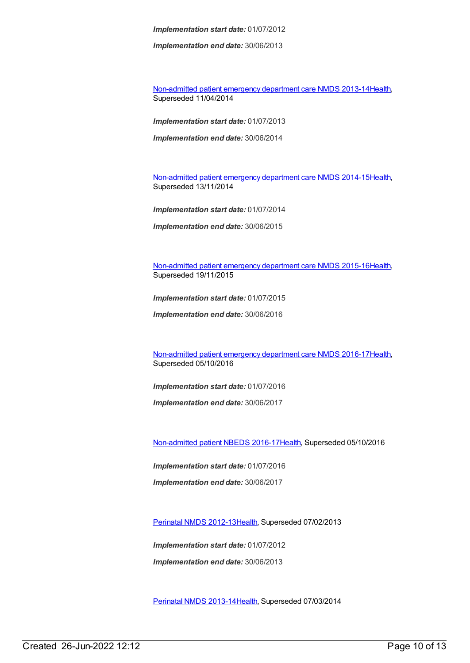*Implementation end date:* 30/06/2013

[Non-admitted](https://meteor.aihw.gov.au/content/509116) patient emergency department care NMDS 2013-14[Health](https://meteor.aihw.gov.au/RegistrationAuthority/12), Superseded 11/04/2014

*Implementation start date:* 01/07/2013

*Implementation end date:* 30/06/2014

[Non-admitted](https://meteor.aihw.gov.au/content/566909) patient emergency department care NMDS 2014-15[Health](https://meteor.aihw.gov.au/RegistrationAuthority/12), Superseded 13/11/2014

*Implementation start date:* 01/07/2014

*Implementation end date:* 30/06/2015

[Non-admitted](https://meteor.aihw.gov.au/content/588932) patient emergency department care NMDS 2015-16[Health](https://meteor.aihw.gov.au/RegistrationAuthority/12), Superseded 19/11/2015

*Implementation start date:* 01/07/2015

*Implementation end date:* 30/06/2016

[Non-admitted](https://meteor.aihw.gov.au/content/612346) patient emergency department care NMDS 2016-17[Health](https://meteor.aihw.gov.au/RegistrationAuthority/12), Superseded 05/10/2016

*Implementation start date:* 01/07/2016

*Implementation end date:* 30/06/2017

[Non-admitted](https://meteor.aihw.gov.au/content/612297) patient NBEDS 2016-17[Health](https://meteor.aihw.gov.au/RegistrationAuthority/12), Superseded 05/10/2016

*Implementation start date:* 01/07/2016

*Implementation end date:* 30/06/2017

[Perinatal](https://meteor.aihw.gov.au/content/461787) NMDS 2012-1[3Health](https://meteor.aihw.gov.au/RegistrationAuthority/12), Superseded 07/02/2013

*Implementation start date:* 01/07/2012 *Implementation end date:* 30/06/2013

[Perinatal](https://meteor.aihw.gov.au/content/489433) NMDS 2013-1[4Health](https://meteor.aihw.gov.au/RegistrationAuthority/12), Superseded 07/03/2014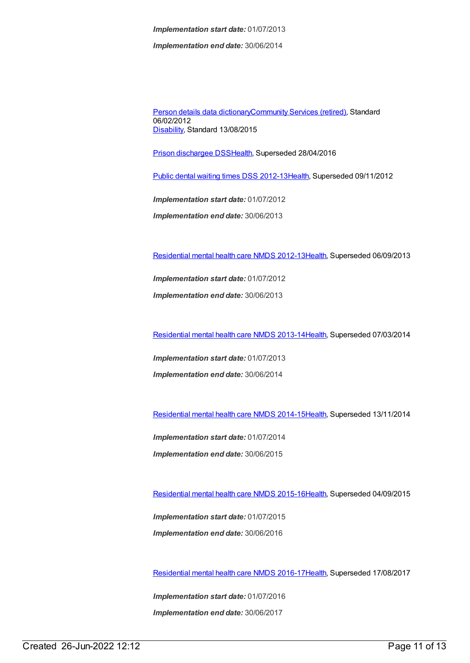*Implementation start date:* 01/07/2013 *Implementation end date:* 30/06/2014

Person details data [dictionary](https://meteor.aihw.gov.au/content/430772)[Community](https://meteor.aihw.gov.au/RegistrationAuthority/1) Services (retired), Standard 06/02/2012 [Disability](https://meteor.aihw.gov.au/RegistrationAuthority/16), Standard 13/08/2015

Prison [dischargee](https://meteor.aihw.gov.au/content/482303) DS[SHealth](https://meteor.aihw.gov.au/RegistrationAuthority/12), Superseded 28/04/2016

Public dental waiting times DSS [2012-13](https://meteor.aihw.gov.au/content/424019)[Health](https://meteor.aihw.gov.au/RegistrationAuthority/12), Superseded 09/11/2012

*Implementation start date:* 01/07/2012 *Implementation end date:* 30/06/2013

[Residential](https://meteor.aihw.gov.au/content/468206) mental health care NMDS 2012-1[3Health](https://meteor.aihw.gov.au/RegistrationAuthority/12), Superseded 06/09/2013

*Implementation start date:* 01/07/2012 *Implementation end date:* 30/06/2013

[Residential](https://meteor.aihw.gov.au/content/539453) mental health care NMDS 2013-1[4Health](https://meteor.aihw.gov.au/RegistrationAuthority/12), Superseded 07/03/2014

*Implementation start date:* 01/07/2013

*Implementation end date:* 30/06/2014

[Residential](https://meteor.aihw.gov.au/content/525052) mental health care NMDS 2014-1[5Health](https://meteor.aihw.gov.au/RegistrationAuthority/12), Superseded 13/11/2014

*Implementation start date:* 01/07/2014 *Implementation end date:* 30/06/2015

[Residential](https://meteor.aihw.gov.au/content/565678) mental health care NMDS 2015-1[6Health](https://meteor.aihw.gov.au/RegistrationAuthority/12), Superseded 04/09/2015

*Implementation start date:* 01/07/2015 *Implementation end date:* 30/06/2016

[Residential](https://meteor.aihw.gov.au/content/608539) mental health care NMDS 2016-1[7Health](https://meteor.aihw.gov.au/RegistrationAuthority/12), Superseded 17/08/2017

*Implementation start date:* 01/07/2016 *Implementation end date:* 30/06/2017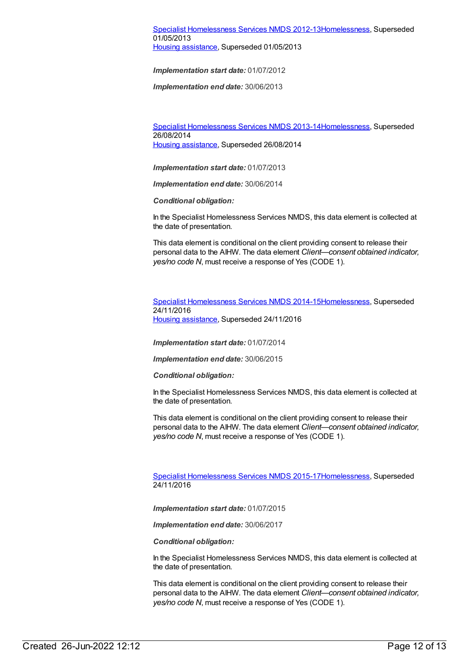### Specialist [Homelessness](https://meteor.aihw.gov.au/content/508954) Services NMDS 2012-1[3Homelessness](https://meteor.aihw.gov.au/RegistrationAuthority/14), Superseded 01/05/2013 Housing [assistance](https://meteor.aihw.gov.au/RegistrationAuthority/11), Superseded 01/05/2013

*Implementation start date:* 01/07/2012

*Implementation end date:* 30/06/2013

Specialist [Homelessness](https://meteor.aihw.gov.au/content/505626) Services NMDS 2013-1[4Homelessness](https://meteor.aihw.gov.au/RegistrationAuthority/14), Superseded 26/08/2014 Housing [assistance](https://meteor.aihw.gov.au/RegistrationAuthority/11), Superseded 26/08/2014

*Implementation start date:* 01/07/2013

*Implementation end date:* 30/06/2014

*Conditional obligation:*

In the Specialist Homelessness Services NMDS, this data element is collected at the date of presentation.

This data element is conditional on the client providing consent to release their personal data to the AIHW. The data element *Client—consent obtained indicator, yes/no code N*, must receive a response of Yes (CODE 1).

Specialist [Homelessness](https://meteor.aihw.gov.au/content/581255) Services NMDS 2014-1[5Homelessness](https://meteor.aihw.gov.au/RegistrationAuthority/14), Superseded 24/11/2016 Housing [assistance](https://meteor.aihw.gov.au/RegistrationAuthority/11), Superseded 24/11/2016

*Implementation start date:* 01/07/2014

*Implementation end date:* 30/06/2015

*Conditional obligation:*

In the Specialist Homelessness Services NMDS, this data element is collected at the date of presentation.

This data element is conditional on the client providing consent to release their personal data to the AIHW. The data element *Client—consent obtained indicator, yes/no code N*, must receive a response of Yes (CODE 1).

Specialist [Homelessness](https://meteor.aihw.gov.au/content/658005) Services NMDS 2015-1[7Homelessness](https://meteor.aihw.gov.au/RegistrationAuthority/14), Superseded 24/11/2016

*Implementation start date:* 01/07/2015

*Implementation end date:* 30/06/2017

*Conditional obligation:*

In the Specialist Homelessness Services NMDS, this data element is collected at the date of presentation.

This data element is conditional on the client providing consent to release their personal data to the AIHW. The data element *Client—consent obtained indicator, yes/no code N*, must receive a response of Yes (CODE 1).